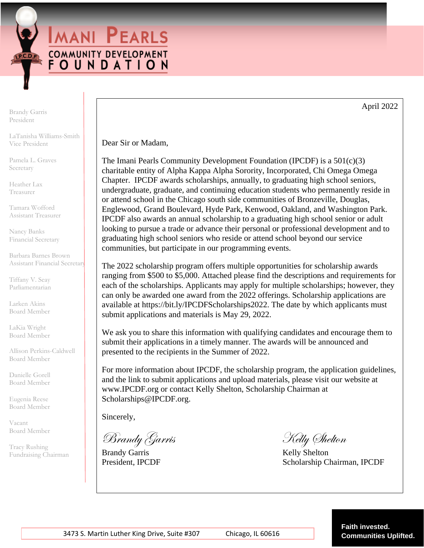**IMANI PEARLS COMMUNITY DEVELOPMENT** FOUNDATION

Brandy Garris President

LaTanisha Williams-Smith Vice President

Pamela L. Graves Secretary

Heather Lax Treasurer

Tamara Wofford Assistant Treasurer

Nancy Banks Financial Secretary

Barbara Barnes Brown Assistant Financial Secretary

Tiffany V. Seay Parliamentarian

Larken Akins Board Member

LaKia Wright Board Member

Allison Perkins-Caldwell Board Member

Danielle Gorell Board Member

Eugenia Reese Board Member

Vacant Board Member

Tracy Rushing Fundraising Chairman Dear Sir or Madam,

The Imani Pearls Community Development Foundation (IPCDF) is a  $501(c)(3)$ charitable entity of Alpha Kappa Alpha Sorority, Incorporated, Chi Omega Omega Chapter. IPCDF awards scholarships, annually, to graduating high school seniors, undergraduate, graduate, and continuing education students who permanently reside in or attend school in the Chicago south side communities of Bronzeville, Douglas, Englewood, Grand Boulevard, Hyde Park, Kenwood, Oakland, and Washington Park. IPCDF also awards an annual scholarship to a graduating high school senior or adult looking to pursue a trade or advance their personal or professional development and to graduating high school seniors who reside or attend school beyond our service communities, but participate in our programming events.

The 2022 scholarship program offers multiple opportunities for scholarship awards ranging from \$500 to \$5,000. Attached please find the descriptions and requirements for each of the scholarships. Applicants may apply for multiple scholarships; however, they can only be awarded one award from the 2022 offerings. Scholarship applications are available at https://bit.ly/IPCDFScholarships2022. The date by which applicants must submit applications and materials is May 29, 2022.

We ask you to share this information with qualifying candidates and encourage them to submit their applications in a timely manner. The awards will be announced and presented to the recipients in the Summer of 2022.

For more information about IPCDF, the scholarship program, the application guidelines, and the link to submit applications and upload materials, please visit our website at www.IPCDF.org or contact Kelly Shelton, Scholarship Chairman at Scholarships@IPCDF.org.

Sincerely,

Brandy Garris Kelly Shelton

Brandy Garris Kelly Shelton

President, IPCDF Scholarship Chairman, IPCDF

April 2022

 **Faith invested.**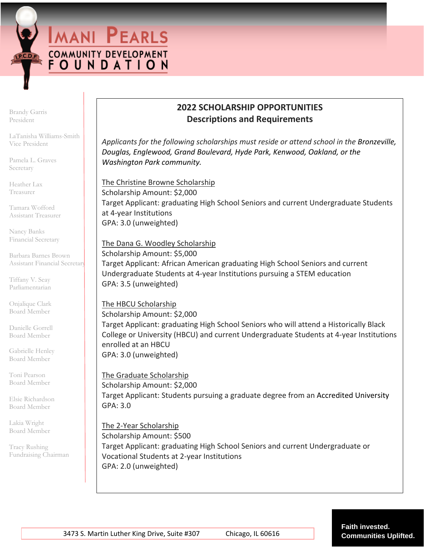**IMANI PEARLS COMMUNITY DEVELOPMENT** FOUNDATION

Brandy Garris President

LaTanisha Williams-Smith Vice President

Pamela L. Graves Secretary

Heather Lax Treasurer

Tamara Wofford Assistant Treasurer

Nancy Banks Financial Secretary

Barbara Barnes Brown Assistant Financial Secretary

Tiffany V. Seay Parliamentarian

Onjalique Clark Board Member

Danielle Gorrell Board Member

Gabrielle Henley Board Member

Toni Pearson Board Member

Elsie Richardson Board Member

Lakia Wright Board Member

Tracy Rushing Fundraising Chairman

# **2022 SCHOLARSHIP OPPORTUNITIES Descriptions and Requirements**

*Applicants for the following scholarships must reside or attend school in the Bronzeville, Douglas, Englewood, Grand Boulevard, Hyde Park, Kenwood, Oakland, or the Washington Park community.*

The Christine Browne Scholarship Scholarship Amount: \$2,000 Target Applicant: graduating High School Seniors and current Undergraduate Students at 4-year Institutions GPA: 3.0 (unweighted)

### The Dana G. Woodley Scholarship

Scholarship Amount: \$5,000 Target Applicant: African American graduating High School Seniors and current Undergraduate Students at 4-year Institutions pursuing a STEM education GPA: 3.5 (unweighted)

## The HBCU Scholarship

Scholarship Amount: \$2,000 Target Applicant: graduating High School Seniors who will attend a Historically Black College or University (HBCU) and current Undergraduate Students at 4-year Institutions enrolled at an HBCU GPA: 3.0 (unweighted)

## The Graduate Scholarship

Scholarship Amount: \$2,000 Target Applicant: Students pursuing a graduate degree from an Accredited University GPA: 3.0

#### The 2-Year Scholarship

Scholarship Amount: \$500 Target Applicant: graduating High School Seniors and current Undergraduate or Vocational Students at 2-year Institutions GPA: 2.0 (unweighted)